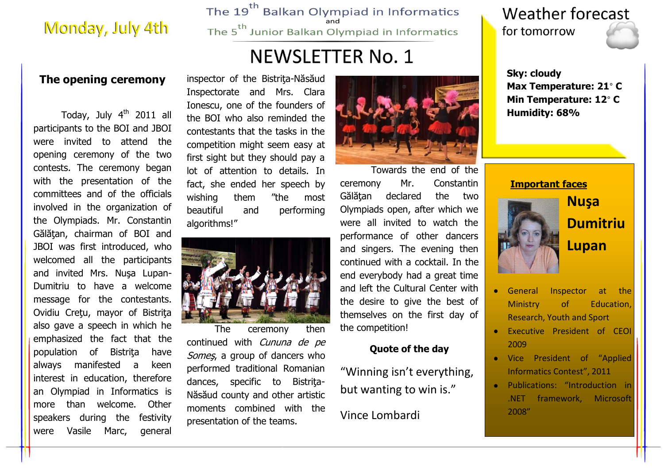## Monday, July 4th

The 19<sup>th</sup> Balkan Olympiad in Informatics The 5<sup>th</sup> Junior Balkan Olympiad in Informatics

## **NEWSLETTER No. 1**

### **The opening ceremony**

Todav, July 4<sup>th</sup> 2011 all participants to the BOI and JBOI were invited to attend the opening ceremony of the two contests. The ceremony began with the presentation of the committees and of the officials involved in the organization of the Olympiads. Mr. Constantin Gălăţan, chairman of BOI and JBOI was first introduced, who welcomed all the participants and invited Mrs. Nuşa Lupan-Dumitriu to have a welcome message for the contestants. Ovidiu Cretu, mayor of Bistrita also gave a speech in which he emphasized the fact that the population of Bistriţa have always manifested a keen interest in education, therefore an Olympiad in Informatics is more than welcome. Other speakers during the festivity were Vasile Marc, general

inspector of the Bistrita-Năsăud Inspectorate and Mrs. Clara Ionescu, one of the founders of the BOI who also reminded the contestants that the tasks in the competition might seem easy at first sight but they should pay a lot of attention to details. In fact, she ended her speech by wishing them "the most beautiful and performing algorithms!"



The ceremony then

continued with Cununa de pe Somes, a group of dancers who performed traditional Romanian dances, specific to Bistrita-Năsăud county and other artistic moments combined with the presentation of the teams.



Towards the end of the ceremony Mr. Constantin Gălăţan declared the two Olympiads open, after which we were all invited to watch the performance of other dancers and singers. The evening then continued with a cocktail. In the end everybody had a great time and left the Cultural Center with the desire to give the best of themselves on the first day of the competition!

#### **Quote of the day**

"Winning isn't everything, but wanting to win is."

### Vince Lombardi

### **Weather forecast** for tomorrow

**Sky: cloudy Max Temperature: 21**° **C Min Temperature: 12**° **C Humidity: 68%**

#### **Important faces**



**Nuşa Dumitriu Lupan**

- General Inspector at the Ministry of Education, Research, Youth and Sport
- Executive President of CEOI 2009
- Vice President of "Applied Informatics Contest", 2011
- Publications: "Introduction in .NET framework, Microsoft 2008"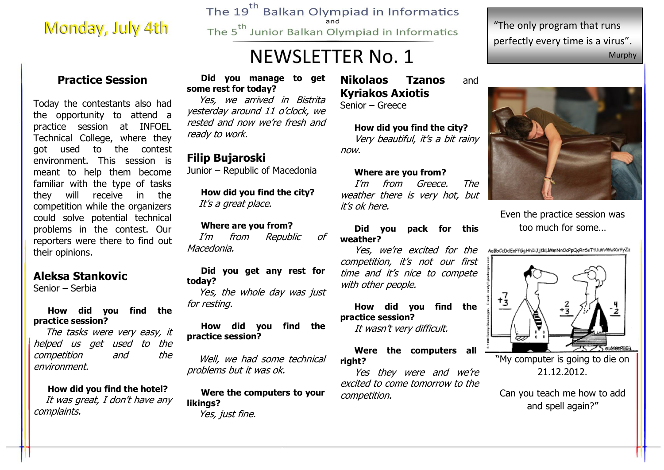## Monday, July 4th

The 19<sup>th</sup> Balkan Olympiad in Informatics The 5<sup>th</sup> Junior Balkan Olympiad in Informatics

## **NEWSLETTER No. 1**

"The only program that runs perfectly every time is a virus". Murphy

### **Practice Session**

Today the contestants also had the opportunity to attend a practice session at INFOEL Technical College, where they got used to the contest environment. This session is meant to help them become familiar with the type of tasks they will receive in the competition while the organizers could solve potential technical problems in the contest. Our reporters were there to find out their opinions.

#### **Aleksa Stankovic**

Senior – Serbia

#### **How did you find the practice session?**

 The tasks were very easy, it helped us get used to the competition and the environment.

**How did you find the hotel?** It was great, I don't have any complaints.

#### **Did you manage to get some rest for today?**

 Yes, we arrived in Bistrita yesterday around 11 o'clock, we rested and now we're fresh and ready to work.

#### **Filip Bujaroski**

Junior – Republic of Macedonia

**How did you find the city?** It's a great place.

#### **Where are you from?**

 I'm from Republic of Macedonia.

#### **Did you get any rest for today?**

 Yes, the whole day was just for resting.

#### **How did you find the practice session?**

 Well, we had some technical problems but it was ok.

**Were the computers to your likings?** Yes, just fine.

### **Nikolaos Tzanos** and **Kyriakos Axiotis**

Senior – Greece

#### **How did you find the city?** Very beautiful, it's a bit rainy now.

#### **Where are you from?**

I'm from Greece. The weather there is very hot, but it's ok here.

**Did you pack for this weather?**

Yes, we're excited for the competition, it's not our first time and it's nice to compete with other people.

**How did you find the practice session?** It wasn't very difficult.

#### **Were the computers all right?**

Yes they were and we're excited to come tomorrow to the competition.



Even the practice session was too much for some…

AuBbCcDdEeFf6qHhIiJjKkLIMmNnOoPpQqRr5sTfUuVvWwXxYyZz



"My computer is going to die on 21.12.2012.

Can you teach me how to add and spell again?"